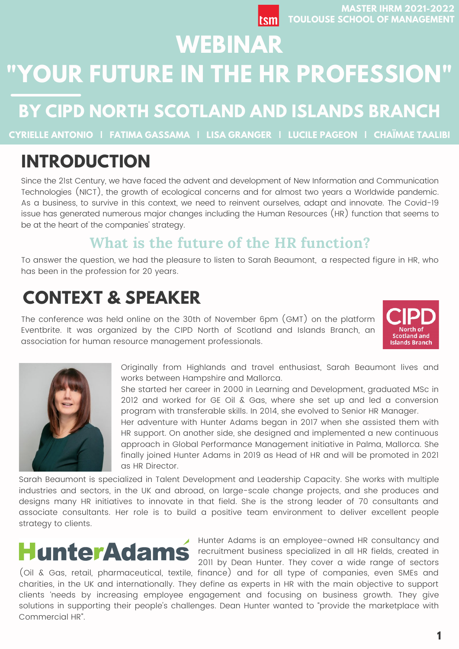# **WEBINAR "YOUR FUTURE IN THE HR PROFESSION"**

## **BY CIPD NORTH SCOTLAND AND ISLANDS BRANCH**

**CYRIELLE ANTONIO | FATIMA GASSAMA | LISA GRANGER | LUCILE PAGEON | CHAÏMAE TAALIBI**

## **INTRODUCTION**

Since the 21st Century, we have faced the advent and development of New Information and Communication Technologies (NICT), the growth of ecological concerns and for almost two years a Worldwide pandemic. As a business, to survive in this context, we need to reinvent ourselves, adapt and innovate. The Covid-19 issue has generated numerous major changes including the Human Resources (HR) function that seems to be at the heart of the companies' strategy.

## **What is the future of the HR function?**

To answer the question, we had the pleasure to listen to Sarah Beaumont, a respected figure in HR, who has been in the profession for 20 years.

## **CONTEXT & SPEAKER**

The conference was held online on the 30th of November 6pm (GMT) on the platform Eventbrite. It was organized by the CIPD North of Scotland and Islands Branch, an association for human resource management professionals.





Originally from Highlands and travel enthusiast, Sarah Beaumont lives and works between Hampshire and Mallorca.

She started her career in 2000 in Learning and Development, graduated MSc in 2012 and worked for GE Oil & Gas, where she set up and led a conversion program with transferable skills. In 2014, she evolved to Senior HR Manager.

Her adventure with Hunter Adams began in 2017 when she assisted them with HR support. On another side, she designed and implemented a new continuous approach in Global Performance Management initiative in Palma, Mallorca. She finally joined Hunter Adams in 2019 as Head of HR and will be promoted in 2021 as HR Director.

Sarah Beaumont is specialized in Talent Development and Leadership Capacity. She works with multiple industries and sectors, in the UK and abroad, on large-scale change projects, and she produces and designs many HR initiatives to innovate in that field. She is the strong leader of 70 consultants and associate consultants. Her role is to build a positive team environment to deliver excellent people strategy to clients.

# **HunterAdam**

Hunter Adams is an employee-owned HR consultancy and recruitment business specialized in all HR fields, created in 2011 by Dean Hunter. They cover a wide range of sectors

(Oil & Gas (Oil & Gas, retail, pharmaceutical, textile, finance) and for all type of companies, even SMEs and charities, in the UK and internationally. They define as experts in HR with the main objective to support clients 'needs by increasing employee engagement and focusing on business growth. They give solutions in supporting their people's challenges. Dean Hunter wanted to "provide the marketplace with Commercial HR".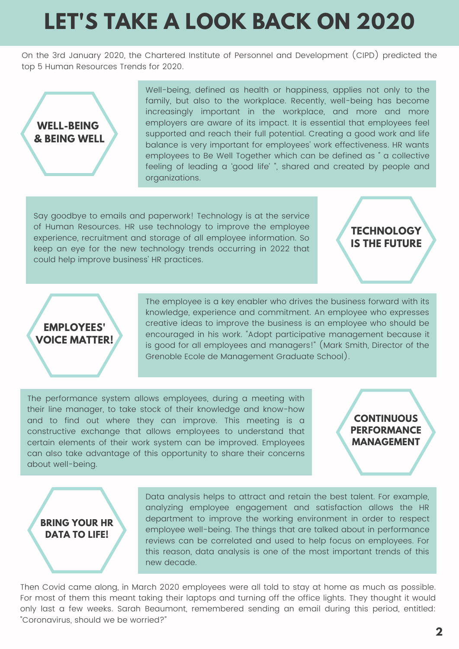# **LET'S TAKE A LOOK BACK ON 2020**

On the 3rd January 2020, the Chartered Institute of Personnel and Development (CIPD) predicted the top 5 Human Resources Trends for 2020.



Well-being, defined as health or happiness, applies not only to the family, but also to the workplace. Recently, well-being has become increasingly important in the workplace, and more and more employers are aware of its impact. It is essential that employees feel supported and reach their full potential. Creating a good work and life balance is very important for employees' work effectiveness. HR wants employees to Be Well Together which can be defined as " a collective feeling of leading a 'good life' ", shared and created by people and organizations.

Say goodbye to emails and paperwork! Technology is at the service of Human Resources. HR use technology to improve the employee experience, recruitment and storage of all employee information. So keep an eye for the new technology trends occurring in 2022 that could help improve business' HR practices.

## **TECHNOLOGY IS THE FUTURE**



The employee is a key enabler who drives the business forward with its knowledge, experience and commitment. An employee who expresses creative ideas to improve the business is an employee who should be encouraged in his work. "Adopt participative management because it is good for all employees and managers!" (Mark Smith, Director of the Grenoble Ecole de Management Graduate School).

The performance system allows employees, during a meeting with their line manager, to take stock of their knowledge and know-how and to find out where they can improve. This meeting is a constructive exchange that allows employees to understand that certain elements of their work system can be improved. Employees can also take advantage of this opportunity to share their concerns about well-being.

#### **CONTINUOUS PERFORMANCE MANAGEMENT**



Data analysis helps to attract and retain the best talent. For example, analyzing employee engagement and satisfaction allows the HR department to improve the working environment in order to respect employee well-being. The things that are talked about in performance reviews can be correlated and used to help focus on employees. For this reason, data analysis is one of the most important trends of this new decade.

Then Covid came along, in March 2020 employees were all told to stay at home as much as possible. For most of them this meant taking their laptops and turning off the office lights. They thought it would only last a few weeks. Sarah Beaumont, remembered sending an email during this period, entitled: "Coronavirus, should we be worried?"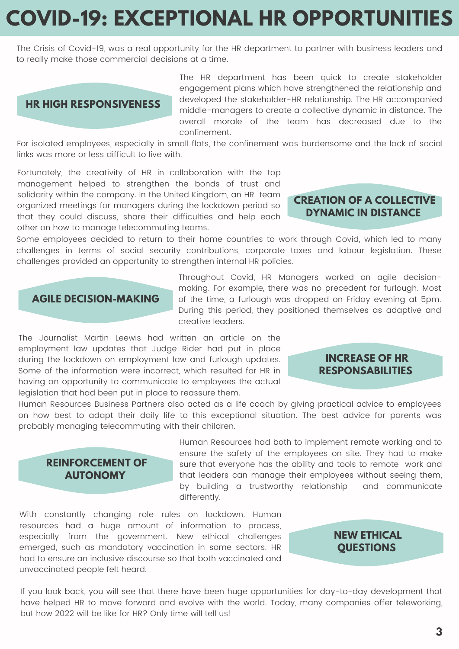# **COVID-19: EXCEPTIONAL HR OPPORTUNITIES**

The Crisis of Covid-19, was a real opportunity for the HR department to partner with business leaders and to really make those commercial decisions at a time.

#### **HR HIGH RESPONSIVENESS**

The HR department has been quick to create stakeholder engagement plans which have strengthened the relationship and developed the stakeholder-HR relationship. The HR accompanied middle-managers to create a collective dynamic in distance. The overall morale of the team has decreased due to the confinement.

For isolated employees, especially in small flats, the confinement was burdensome and the lack of social links was more or less difficult to live with.

Fortunately, the creativity of HR in collaboration with the top management helped to strengthen the bonds of trust and solidarity within the company. In the United Kingdom, an HR team organized meetings for managers during the lockdown period so that they could discuss, share their difficulties and help each other on how to manage telecommuting teams.

#### **CREATION OF A COLLECTIVE DYNAMIC IN DISTANCE**

Some employees decided to return to their home countries to work through Covid, which led to many challenges in terms of social security contributions, corporate taxes and labour legislation. These challenges provided an opportunity to strengthen internal HR policies.

#### **AGILE DECISION-MAKING**

Throughout Covid, HR Managers worked on agile decisionmaking. For example, there was no precedent for furlough. Most of the time, a furlough was dropped on Friday evening at 5pm. During this period, they positioned themselves as adaptive and creative leaders.

The Journalist Martin Leewis had written an article on the employment law updates that Judge Rider had put in place during the lockdown on employment law and furlough updates. Some of the information were incorrect, which resulted for HR in having an opportunity to communicate to employees the actual legislation that had been put in place to reassure them.

Human Resources Business Partners also acted as a life coach by giving practical advice to employees on how best to adapt their daily life to this exceptional situation. The best advice for parents was probably managing telecommuting with their children.

#### **REINFORCEMENT OF AUTONOMY**

Human Resources had both to implement remote working and to ensure the safety of the employees on site. They had to make sure that everyone has the ability and tools to remote work and that leaders can manage their employees without seeing them, by building a trustworthy relationship and communicate differently.

With constantly changing role rules on lockdown. Human resources had a huge amount of information to process, especially from the government. New ethical challenges emerged, such as mandatory vaccination in some sectors. HR had to ensure an inclusive discourse so that both vaccinated and unvaccinated people felt heard.

#### **NEW ETHICAL QUESTIONS**

If you look back, you will see that there have been huge opportunities for day-to-day development that have helped HR to move forward and evolve with the world. Today, many companies offer teleworking, but how 2022 will be like for HR? Only time will tell us!

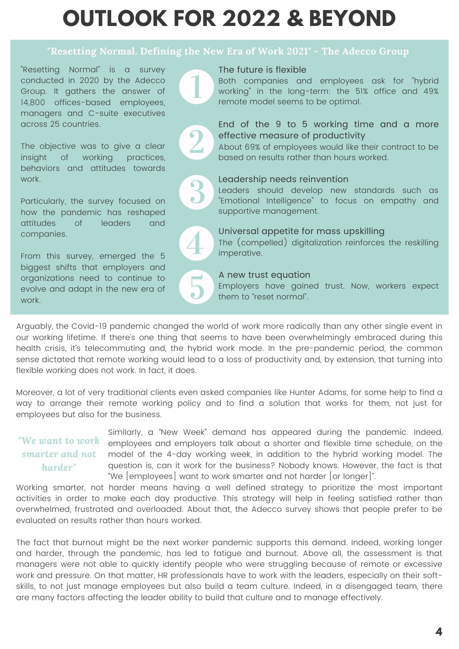# **OUTLOOK FOR 2022 & BEYOND**

#### **"Resetting Normal. Defining the New Era of Work 2021" - The Adecco Group**

"Resetting Normal" is a survey conducted in 2020 by the Adecco Group. It gathers the answer of 14,800 offices-based employees, managers and C-suite executives across 25 countries.

The objective was to give a clear insight of working practices, behaviors and attitudes towards work.

Particularly, the survey focused on how the pandemic has reshaped attitudes of leaders and companies.

From this survey, emerged the 5 biggest shifts that employers and organizations need to continue to evolve and adapt in the new era of work.

The future is flexible

Both companies and employees ask for "hybrid working" in the long-term: the 51% office and 49% remote model seems to be optimal.



#### End of the 9 to 5 working time and a more effective measure of productivity

About 69% of employees would like their contract to be based on results rather than hours worked.



#### Leadership needs reinvention

Leaders should develop new standards such as "Emotional Intelligence" to focus on empathy and supportive management.



#### Universal appetite for mass upskilling

The (compelled) digitalization reinforces the reskilling imperative.

#### A new trust equation

Employers have gained trust. Now, workers expect them to "reset normal".

Arguably, the Covid-19 pandemic changed the world of work more radically than any other single event in our working lifetime. If there's one thing that seems to have been overwhelmingly embraced during this health crisis, it's telecommuting and, the hybrid work mode. In the pre-pandemic period, the common sense dictated that remote working would lead to a loss of productivity and, by extension, that turning into flexible working does not work. In fact, it does.

Moreover, a lot of very traditional clients even asked companies like Hunter Adams, for some help to find a way to arrange their remote working policy and to find a solution that works for them, not just for employees but also for the business.

#### *"We want to work smarter and not harder"*

Similarly, a "New Week" demand has appeared during the pandemic. Indeed, employees and employers talk about a shorter and flexible time schedule, on the model of the 4-day working week, in addition to the hybrid working model. The question is, can it work for the business? Nobody knows. However, the fact is that "We [employees] want to work smarter and not harder [or longer]".

Working smarter, not harder means having a well defined strategy to prioritize the most important activities in order to make each day productive. This strategy will help in feeling satisfied rather than overwhelmed, frustrated and overloaded. About that, the Adecco survey shows that people prefer to be evaluated on results rather than hours worked.

The fact that burnout might be the next worker pandemic supports this demand. Indeed, working longer and harder, through the pandemic, has led to fatigue and burnout. Above all, the assessment is that managers were not able to quickly identify people who were struggling because of remote or excessive work and pressure. On that matter, HR professionals have to work with the leaders, especially on their softskills, to not just manage employees but also build a team culture. Indeed, in a disengaged team, there are many factors affecting the leader ability to build that culture and to manage effectively.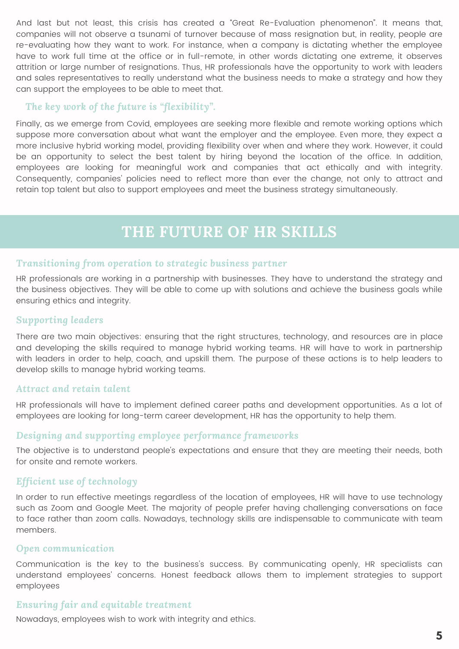And last but not least, this crisis has created a "Great Re-Evaluation phenomenon". It means that, companies will not observe a tsunami of turnover because of mass resignation but, in reality, people are re-evaluating how they want to work. For instance, when a company is dictating whether the employee have to work full time at the office or in full-remote, in other words dictating one extreme, it observes attrition or large number of resignations. Thus, HR professionals have the opportunity to work with leaders and sales representatives to really understand what the business needs to make a strategy and how they can support the employees to be able to meet that.

#### *The key work of the future is "flexibility".*

Finally, as we emerge from Covid, employees are seeking more flexible and remote working options which suppose more conversation about what want the employer and the employee. Even more, they expect a more inclusive hybrid working model, providing flexibility over when and where they work. However, it could be an opportunity to select the best talent by hiring beyond the location of the office. In addition, employees are looking for meaningful work and companies that act ethically and with integrity. Consequently, companies' policies need to reflect more than ever the change, not only to attract and retain top talent but also to support employees and meet the business strategy simultaneously.

## **THE FUTURE OF HR SKILLS**

#### *Transitioning from operation to strategic business partner*

HR professionals are working in a partnership with businesses. They have to understand the strategy and the business objectives. They will be able to come up with solutions and achieve the business goals while ensuring ethics and integrity.

#### *Supporting leaders*

There are two main objectives: ensuring that the right structures, technology, and resources are in place and developing the skills required to manage hybrid working teams. HR will have to work in partnership with leaders in order to help, coach, and upskill them. The purpose of these actions is to help leaders to develop skills to manage hybrid working teams.

#### *Attract and retain talent*

HR professionals will have to implement defined career paths and development opportunities. As a lot of employees are looking for long-term career development, HR has the opportunity to help them.

#### *Designing and supporting employee performance frameworks*

The objective is to understand people's expectations and ensure that they are meeting their needs, both for onsite and remote workers.

#### *Efficient use of technology*

In order to run effective meetings regardless of the location of employees, HR will have to use technology such as Zoom and Google Meet. The majority of people prefer having challenging conversations on face to face rather than zoom calls. Nowadays, technology skills are indispensable to communicate with team members.

#### *Open communication*

Communication is the key to the business's success. By communicating openly, HR specialists can understand employees' concerns. Honest feedback allows them to implement strategies to support employees

#### *Ensuring fair and equitable treatment*

Nowadays, employees wish to work with integrity and ethics.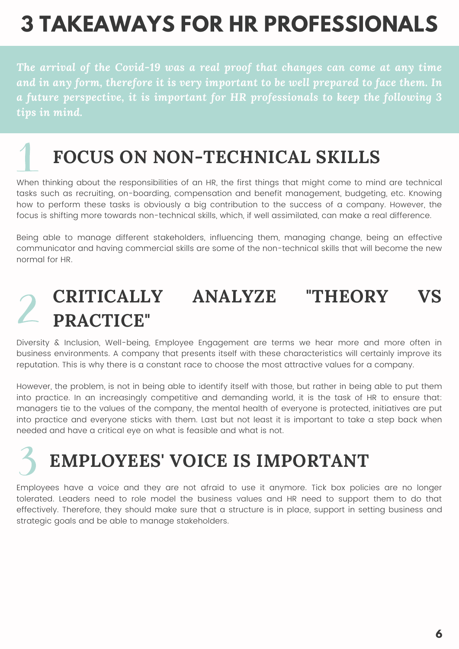# **3 TAKEAWAYS FOR HR PROFESSIONALS**

*The arrival of the Covid-19 was a real proof that changes can come at any time and in any form, therefore it is very important to be well prepared to face them. In a future perspective, it is important for HR professionals to keep the following 3 tips in mind.*

## **FOCUS ON NON-TECHNICAL SKILLS**

When thinking about the responsibilities of an HR, the first things that might come to mind are technical tasks such as recruiting, on-boarding, compensation and benefit management, budgeting, etc. Knowing how to perform these tasks is obviously a big contribution to the success of a company. However, the focus is shifting more towards non-technical skills, which, if well assimilated, can make a real difference.

Being able to manage different stakeholders, influencing them, managing change, being an effective communicator and having commercial skills are some of the non-technical skills that will become the new normal for HR.

## **CRITICALLY ANALYZE "THEORY VS PRACTICE"**

Diversity & Inclusion, Well-being, Employee Engagement are terms we hear more and more often in business environments. A company that presents itself with these characteristics will certainly improve its reputation. This is why there is a constant race to choose the most attractive values for a company.

However, the problem, is not in being able to identify itself with those, but rather in being able to put them into practice. In an increasingly competitive and demanding world, it is the task of HR to ensure that: managers tie to the values of the company, the mental health of everyone is protected, initiatives are put into practice and everyone sticks with them. Last but not least it is important to take a step back when needed and have a critical eye on what is feasible and what is not.

# **EMPLOYEES' VOICE IS IMPORTANT**

Employees have a voice and they are not afraid to use it anymore. Tick box policies are no longer tolerated. Leaders need to role model the business values and HR need to support them to do that effectively. Therefore, they should make sure that a structure is in place, support in setting business and strategic goals and be able to manage stakeholders.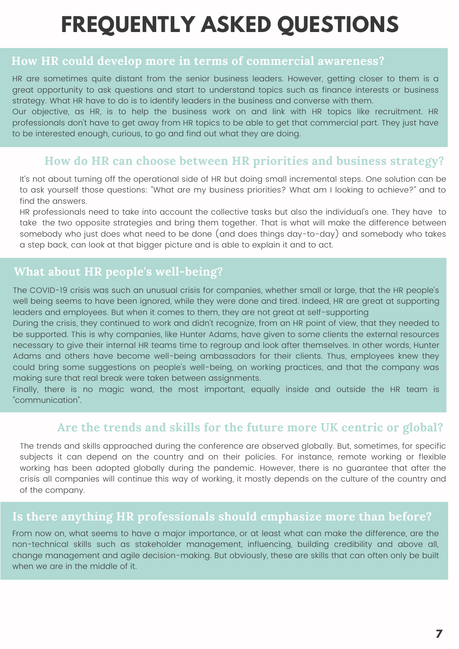# **FREQUENTLY ASKED QUESTIONS**

#### **How HR could develop more in terms of commercial awareness?**

HR are sometimes quite distant from the senior business leaders. However, getting closer to them is a great opportunity to ask questions and start to understand topics such as finance interests or business strategy. What HR have to do is to identify leaders in the business and converse with them.

Our objective, as HR, is to help the business work on and link with HR topics like recruitment. HR professionals don't have to get away from HR topics to be able to get that commercial part. They just have to be interested enough, curious, to go and find out what they are doing.

### **How do HR can choose between HR priorities and business strategy?**

It's not about turning off the operational side of HR but doing small incremental steps. One solution can be to ask yourself those questions: "What are my business priorities? What am I looking to achieve?" and to find the answers.

HR professionals need to take into account the collective tasks but also the individual's one. They have to take the two opposite strategies and bring them together. That is what will make the difference between somebody who just does what need to be done (and does things day-to-day) and somebody who takes a step back, can look at that bigger picture and is able to explain it and to act.

### **What about HR people's well-being?**

The COVID-19 crisis was such an unusual crisis for companies, whether small or large, that the HR people's well being seems to have been ignored, while they were done and tired. Indeed, HR are great at supporting leaders and employees. But when it comes to them, they are not great at self-supporting

During the crisis, they continued to work and didn't recognize, from an HR point of view, that they needed to be supported. This is why companies, like Hunter Adams, have given to some clients the external resources necessary to give their internal HR teams time to regroup and look after themselves. In other words, Hunter Adams and others have become well-being ambassadors for their clients. Thus, employees knew they could bring some suggestions on people's well-being, on working practices, and that the company was making sure that real break were taken between assignments.

Finally, there is no magic wand, the most important, equally inside and outside the HR team is "communication".

### **Are the trends and skills for the future more UK centric or global?**

The trends and skills approached during the conference are observed globally. But, sometimes, for specific subjects it can depend on the country and on their policies. For instance, remote working or flexible working has been adopted globally during the pandemic. However, there is no guarantee that after the crisis all companies will continue this way of working, it mostly depends on the culture of the country and of the company.

#### **Is there anything HR professionals should emphasize more than before?**

From now on, what seems to have a major importance, or at least what can make the difference, are the non-technical skills such as stakeholder management, influencing, building credibility and above all, change management and agile decision-making. But obviously, these are skills that can often only be built when we are in the middle of it.